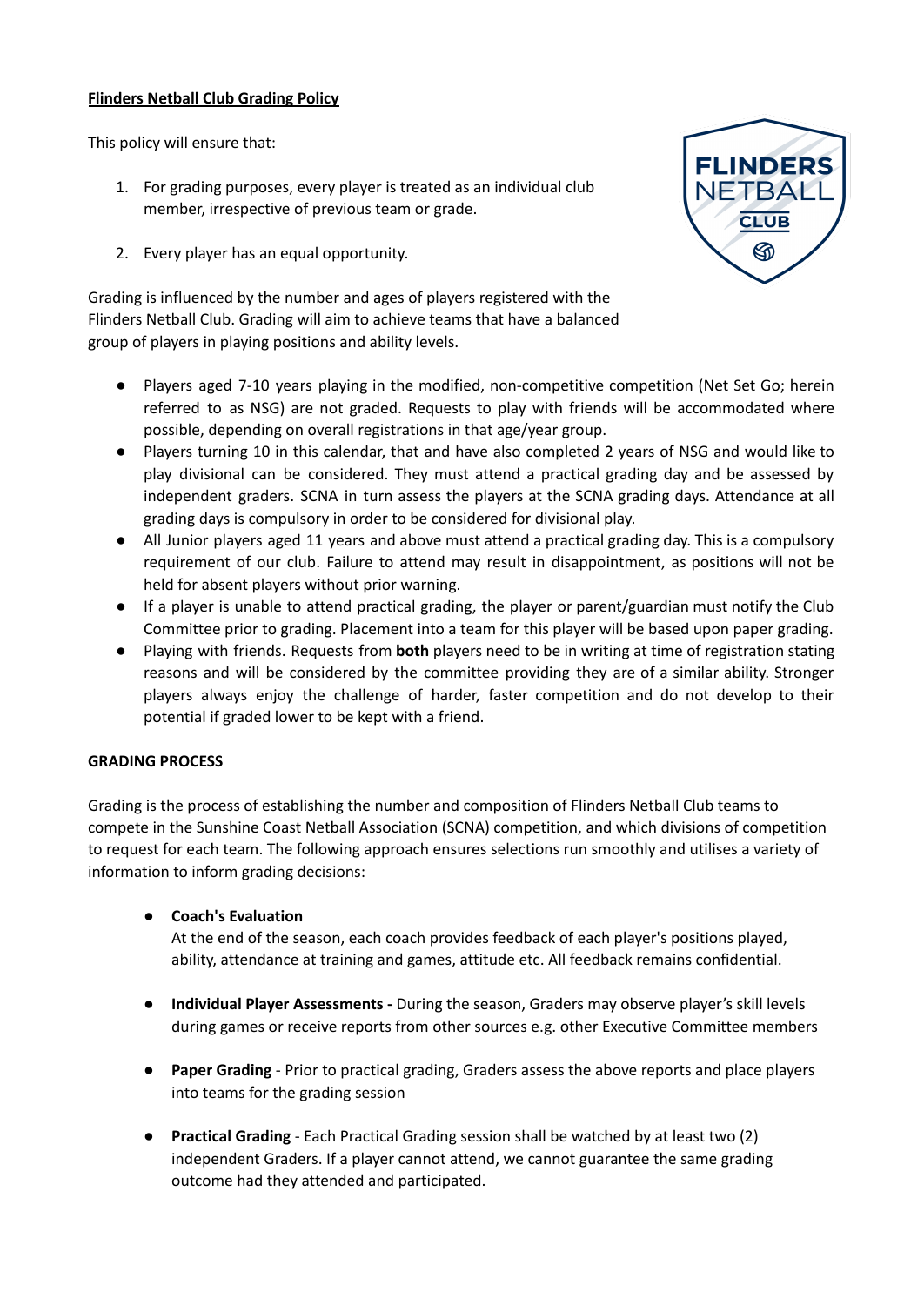## **Flinders Netball Club Grading Policy**

This policy will ensure that:

- 1. For grading purposes, every player is treated as an individual club member, irrespective of previous team or grade.
- 2. Every player has an equal opportunity.

Grading is influenced by the number and ages of players registered with the Flinders Netball Club. Grading will aim to achieve teams that have a balanced group of players in playing positions and ability levels.

- **●** Players aged 7-10 years playing in the modified, non-competitive competition (Net Set Go; herein referred to as NSG) are not graded. Requests to play with friends will be accommodated where possible, depending on overall registrations in that age/year group.
- **●** Players turning 10 in this calendar, that and have also completed 2 years of NSG and would like to play divisional can be considered. They must attend a practical grading day and be assessed by independent graders. SCNA in turn assess the players at the SCNA grading days. Attendance at all grading days is compulsory in order to be considered for divisional play.
- **●** All Junior players aged 11 years and above must attend a practical grading day. This is a compulsory requirement of our club. Failure to attend may result in disappointment, as positions will not be held for absent players without prior warning.
- **●** If a player is unable to attend practical grading, the player or parent/guardian must notify the Club Committee prior to grading. Placement into a team for this player will be based upon paper grading.
- **●** Playing with friends. Requests from **both** players need to be in writing at time of registration stating reasons and will be considered by the committee providing they are of a similar ability. Stronger players always enjoy the challenge of harder, faster competition and do not develop to their potential if graded lower to be kept with a friend.

## **GRADING PROCESS**

Grading is the process of establishing the number and composition of Flinders Netball Club teams to compete in the Sunshine Coast Netball Association (SCNA) competition, and which divisions of competition to request for each team. The following approach ensures selections run smoothly and utilises a variety of information to inform grading decisions:

**● Coach's Evaluation**

At the end of the season, each coach provides feedback of each player's positions played, ability, attendance at training and games, attitude etc. All feedback remains confidential.

- **Individual Player Assessments -** During the season, Graders may observe player's skill levels during games or receive reports from other sources e.g. other Executive Committee members
- **Paper Grading** Prior to practical grading, Graders assess the above reports and place players into teams for the grading session
- **Practical Grading** Each Practical Grading session shall be watched by at least two (2) independent Graders. If a player cannot attend, we cannot guarantee the same grading outcome had they attended and participated.

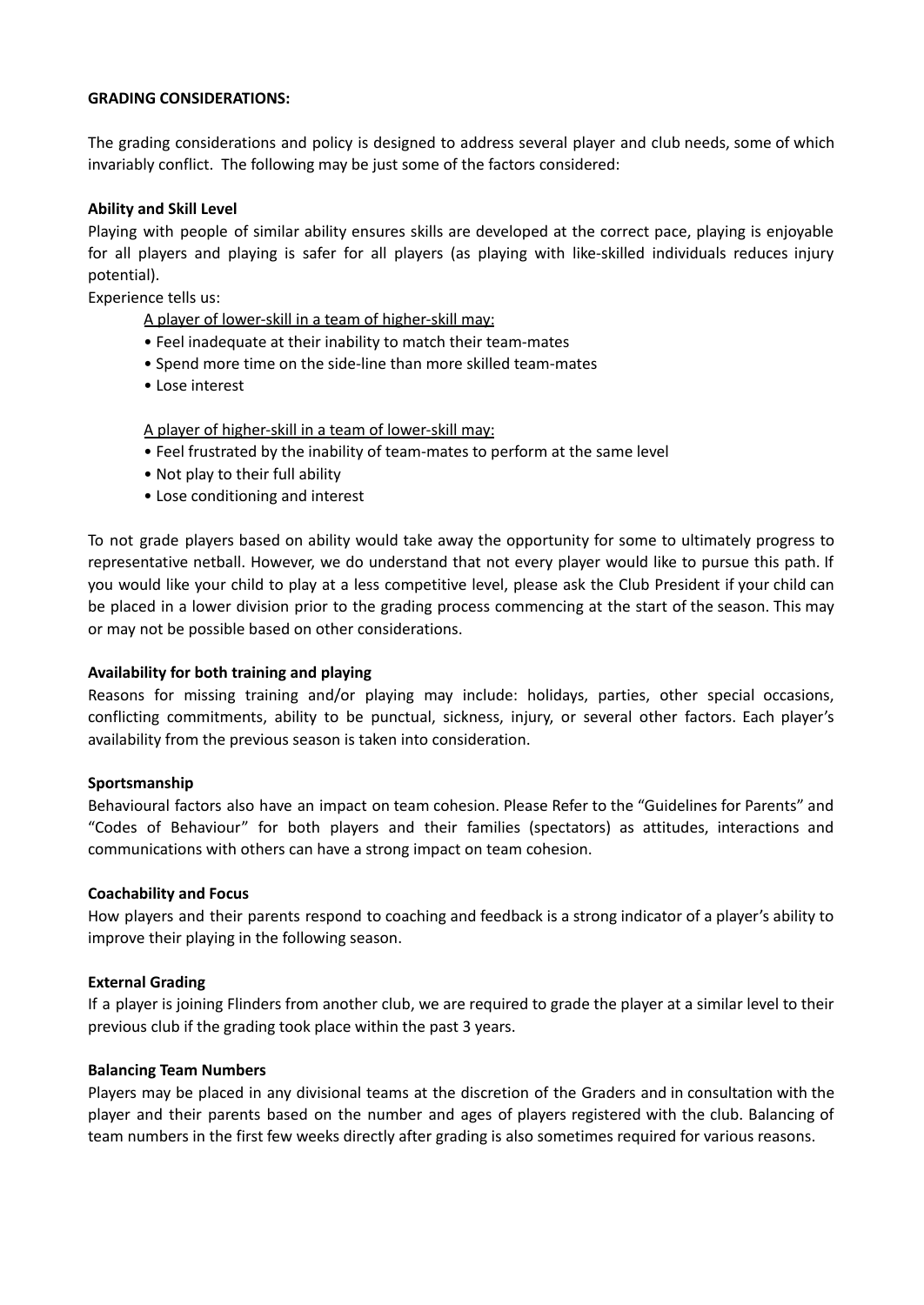#### **GRADING CONSIDERATIONS:**

The grading considerations and policy is designed to address several player and club needs, some of which invariably conflict. The following may be just some of the factors considered:

### **Ability and Skill Level**

Playing with people of similar ability ensures skills are developed at the correct pace, playing is enjoyable for all players and playing is safer for all players (as playing with like-skilled individuals reduces injury potential).

Experience tells us:

A player of lower-skill in a team of higher-skill may:

- Feel inadequate at their inability to match their team-mates
- Spend more time on the side-line than more skilled team-mates
- Lose interest

A player of higher-skill in a team of lower-skill may:

- Feel frustrated by the inability of team-mates to perform at the same level
- Not play to their full ability
- Lose conditioning and interest

To not grade players based on ability would take away the opportunity for some to ultimately progress to representative netball. However, we do understand that not every player would like to pursue this path. If you would like your child to play at a less competitive level, please ask the Club President if your child can be placed in a lower division prior to the grading process commencing at the start of the season. This may or may not be possible based on other considerations.

#### **Availability for both training and playing**

Reasons for missing training and/or playing may include: holidays, parties, other special occasions, conflicting commitments, ability to be punctual, sickness, injury, or several other factors. Each player's availability from the previous season is taken into consideration.

#### **Sportsmanship**

Behavioural factors also have an impact on team cohesion. Please Refer to the "Guidelines for Parents" and "Codes of Behaviour" for both players and their families (spectators) as attitudes, interactions and communications with others can have a strong impact on team cohesion.

#### **Coachability and Focus**

How players and their parents respond to coaching and feedback is a strong indicator of a player's ability to improve their playing in the following season.

#### **External Grading**

If a player is joining Flinders from another club, we are required to grade the player at a similar level to their previous club if the grading took place within the past 3 years.

#### **Balancing Team Numbers**

Players may be placed in any divisional teams at the discretion of the Graders and in consultation with the player and their parents based on the number and ages of players registered with the club. Balancing of team numbers in the first few weeks directly after grading is also sometimes required for various reasons.